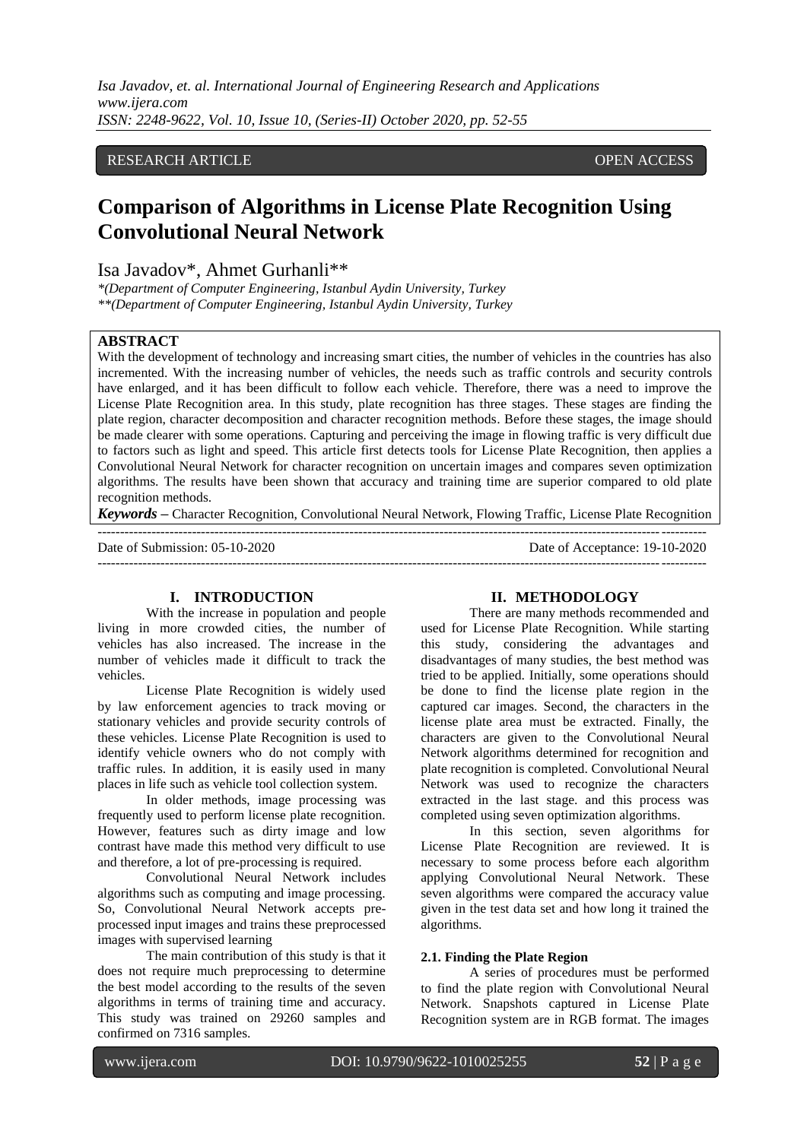*Isa Javadov, et. al. International Journal of Engineering Research and Applications www.ijera.com ISSN: 2248-9622, Vol. 10, Issue 10, (Series-II) October 2020, pp. 52-55*

## RESEARCH ARTICLE **OPEN ACCESS**

# **Comparison of Algorithms in License Plate Recognition Using Convolutional Neural Network**

Isa Javadov\*, Ahmet Gurhanli\*\*

*\*(Department of Computer Engineering, Istanbul Aydin University, Turkey \*\*(Department of Computer Engineering, Istanbul Aydin University, Turkey*

---------------------------------------------------------------------------------------------------------------------------------------

### **ABSTRACT**

With the development of technology and increasing smart cities, the number of vehicles in the countries has also incremented. With the increasing number of vehicles, the needs such as traffic controls and security controls have enlarged, and it has been difficult to follow each vehicle. Therefore, there was a need to improve the License Plate Recognition area. In this study, plate recognition has three stages. These stages are finding the plate region, character decomposition and character recognition methods. Before these stages, the image should be made clearer with some operations. Capturing and perceiving the image in flowing traffic is very difficult due to factors such as light and speed. This article first detects tools for License Plate Recognition, then applies a Convolutional Neural Network for character recognition on uncertain images and compares seven optimization algorithms. The results have been shown that accuracy and training time are superior compared to old plate recognition methods.

*Keywords* **–** Character Recognition, Convolutional Neural Network, Flowing Traffic, License Plate Recognition

Date of Submission: 05-10-2020 Date of Acceptance: 19-10-2020 ---------------------------------------------------------------------------------------------------------------------------------------

#### **I. INTRODUCTION**

With the increase in population and people living in more crowded cities, the number of vehicles has also increased. The increase in the number of vehicles made it difficult to track the vehicles.

License Plate Recognition is widely used by law enforcement agencies to track moving or stationary vehicles and provide security controls of these vehicles. License Plate Recognition is used to identify vehicle owners who do not comply with traffic rules. In addition, it is easily used in many places in life such as vehicle tool collection system.

In older methods, image processing was frequently used to perform license plate recognition. However, features such as dirty image and low contrast have made this method very difficult to use and therefore, a lot of pre-processing is required.

Convolutional Neural Network includes algorithms such as computing and image processing. So, Convolutional Neural Network accepts preprocessed input images and trains these preprocessed images with supervised learning

The main contribution of this study is that it does not require much preprocessing to determine the best model according to the results of the seven algorithms in terms of training time and accuracy. This study was trained on 29260 samples and confirmed on 7316 samples.

### **II. METHODOLOGY**

There are many methods recommended and used for License Plate Recognition. While starting this study, considering the advantages and disadvantages of many studies, the best method was tried to be applied. Initially, some operations should be done to find the license plate region in the captured car images. Second, the characters in the license plate area must be extracted. Finally, the characters are given to the Convolutional Neural Network algorithms determined for recognition and plate recognition is completed. Convolutional Neural Network was used to recognize the characters extracted in the last stage. and this process was completed using seven optimization algorithms.

In this section, seven algorithms for License Plate Recognition are reviewed. It is necessary to some process before each algorithm applying Convolutional Neural Network. These seven algorithms were compared the accuracy value given in the test data set and how long it trained the algorithms.

## **2.1. Finding the Plate Region**

A series of procedures must be performed to find the plate region with Convolutional Neural Network. Snapshots captured in License Plate Recognition system are in RGB format. The images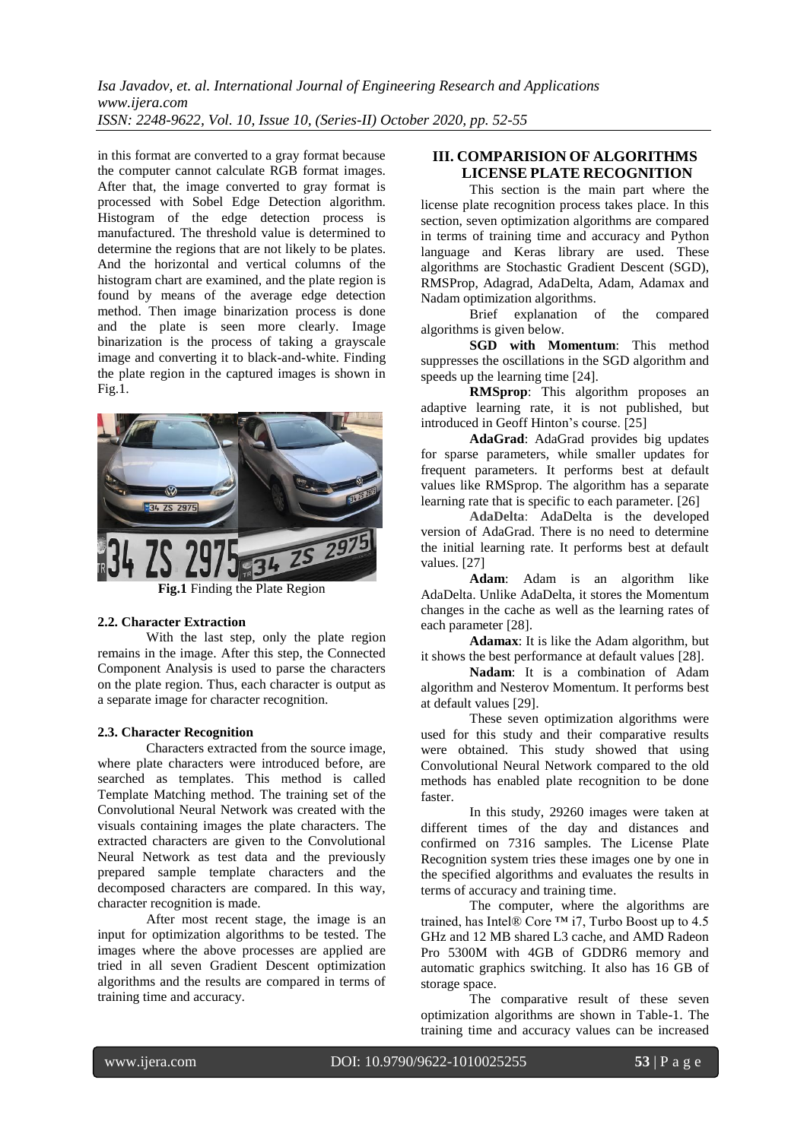*Isa Javadov, et. al. International Journal of Engineering Research and Applications www.ijera.com ISSN: 2248-9622, Vol. 10, Issue 10, (Series-II) October 2020, pp. 52-55*

in this format are converted to a gray format because the computer cannot calculate RGB format images. After that, the image converted to gray format is processed with Sobel Edge Detection algorithm. Histogram of the edge detection process is manufactured. The threshold value is determined to determine the regions that are not likely to be plates. And the horizontal and vertical columns of the histogram chart are examined, and the plate region is found by means of the average edge detection method. Then image binarization process is done and the plate is seen more clearly. Image binarization is the process of taking a grayscale image and converting it to black-and-white. Finding the plate region in the captured images is shown in Fig.1.



## **2.2. Character Extraction**

With the last step, only the plate region remains in the image. After this step, the Connected Component Analysis is used to parse the characters on the plate region. Thus, each character is output as a separate image for character recognition.

## **2.3. Character Recognition**

Characters extracted from the source image, where plate characters were introduced before, are searched as templates. This method is called Template Matching method. The training set of the Convolutional Neural Network was created with the visuals containing images the plate characters. The extracted characters are given to the Convolutional Neural Network as test data and the previously prepared sample template characters and the decomposed characters are compared. In this way, character recognition is made.

After most recent stage, the image is an input for optimization algorithms to be tested. The images where the above processes are applied are tried in all seven Gradient Descent optimization algorithms and the results are compared in terms of training time and accuracy.

## **III. COMPARISION OF ALGORITHMS LICENSE PLATE RECOGNITION**

This section is the main part where the license plate recognition process takes place. In this section, seven optimization algorithms are compared in terms of training time and accuracy and Python language and Keras library are used. These algorithms are Stochastic Gradient Descent (SGD), RMSProp, Adagrad, AdaDelta, Adam, Adamax and Nadam optimization algorithms.

Brief explanation of the compared algorithms is given below.

**SGD with Momentum**: This method suppresses the oscillations in the SGD algorithm and speeds up the learning time [24].

**RMSprop**: This algorithm proposes an adaptive learning rate, it is not published, but introduced in Geoff Hinton's course. [25]

**AdaGrad**: AdaGrad provides big updates for sparse parameters, while smaller updates for frequent parameters. It performs best at default values like RMSprop. The algorithm has a separate learning rate that is specific to each parameter. [26]

AdaDelta: AdaDelta is the developed version of AdaGrad. There is no need to determine the initial learning rate. It performs best at default values. [27]

**Adam**: Adam is an algorithm like AdaDelta. Unlike AdaDelta, it stores the Momentum changes in the cache as well as the learning rates of each parameter [28].

**Adamax**: It is like the Adam algorithm, but it shows the best performance at default values [28].

**Nadam**: It is a combination of Adam algorithm and Nesterov Momentum. It performs best at default values [29].

These seven optimization algorithms were used for this study and their comparative results were obtained. This study showed that using Convolutional Neural Network compared to the old methods has enabled plate recognition to be done faster.

In this study, 29260 images were taken at different times of the day and distances and confirmed on 7316 samples. The License Plate Recognition system tries these images one by one in the specified algorithms and evaluates the results in terms of accuracy and training time.

The computer, where the algorithms are trained, has Intel® Core ™ i7, Turbo Boost up to 4.5 GHz and 12 MB shared L3 cache, and AMD Radeon Pro 5300M with 4GB of GDDR6 memory and automatic graphics switching. It also has 16 GB of storage space.

The comparative result of these seven optimization algorithms are shown in Table-1. The training time and accuracy values can be increased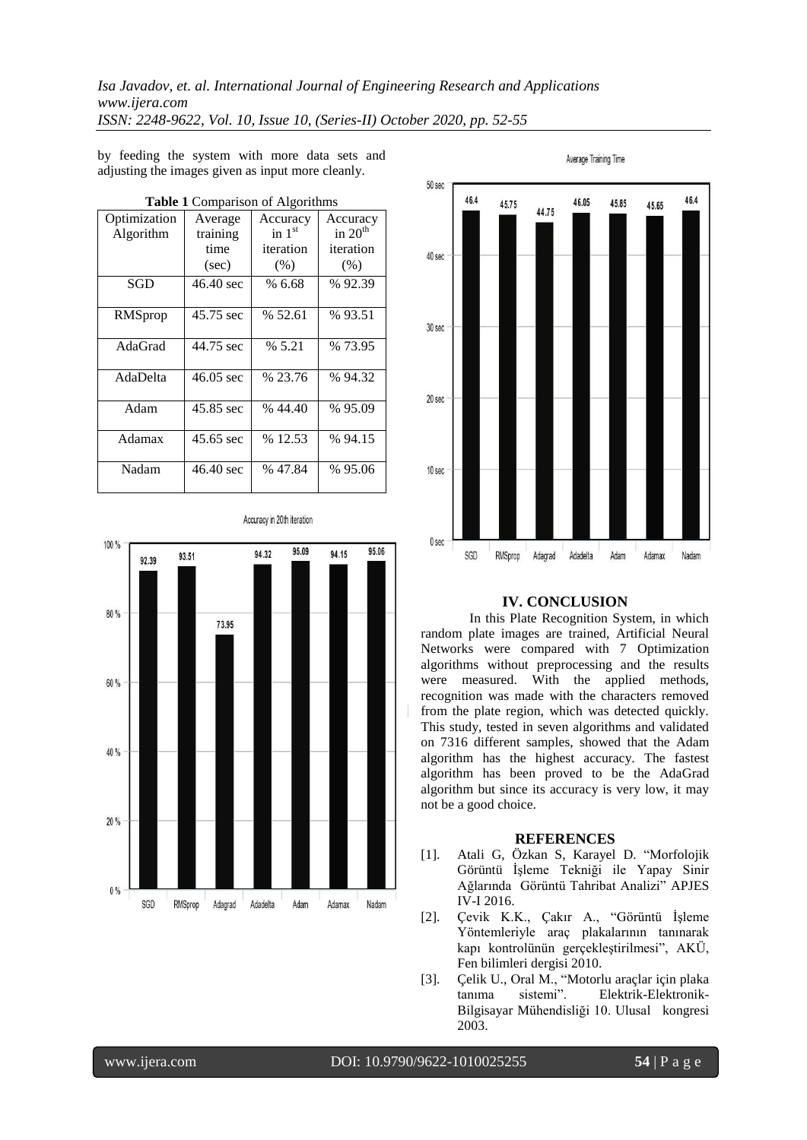*Isa Javadov, et. al. International Journal of Engineering Research and Applications www.ijera.com ISSN: 2248-9622, Vol. 10, Issue 10, (Series-II) October 2020, pp. 52-55*

by feeding the system with more data sets and adjusting the images given as input more cleanly.

| <b>Table 1 Comparison of Algorithms</b> |                                      |                                           |                                            |
|-----------------------------------------|--------------------------------------|-------------------------------------------|--------------------------------------------|
| Optimization<br>Algorithm               | Average<br>training<br>time<br>(sec) | Accuracy<br>in $1st$<br>iteration<br>(% ) | Accuracy<br>in $20th$<br>iteration<br>(% ) |
| SGD                                     | 46.40 sec                            | % 6.68                                    | % 92.39                                    |
| RMSprop                                 | 45.75 sec                            | % 52.61                                   | % 93.51                                    |
| AdaGrad                                 | 44.75 sec                            | % 5.21                                    | % 73.95                                    |
| AdaDelta                                | $46.05 \text{ sec}$                  | % 23.76                                   | % 94.32                                    |
| Adam                                    | 45.85 sec                            | %44.40                                    | % 95.09                                    |
| Adamax                                  | 45.65 sec                            | % 12.53                                   | % 94.15                                    |
| Nadam                                   | 46.40 sec                            | % 47.84                                   | %95.06                                     |

Average Training Time



## **IV. CONCLUSION**

In this Plate Recognition System, in which random plate images are trained, Artificial Neural Networks were compared with 7 Optimization algorithms without preprocessing and the results were measured. With the applied methods, recognition was made with the characters removed from the plate region, which was detected quickly. This study, tested in seven algorithms and validated on 7316 different samples, showed that the Adam algorithm has the highest accuracy. The fastest algorithm has been proved to be the AdaGrad algorithm but since its accuracy is very low, it may not be a good choice.

#### **REFERENCES**

- [1]. Atali G, Özkan S, Karayel D. "Morfolojik Görüntü İşleme Tekniği ile Yapay Sinir Ağlarında Görüntü Tahribat Analizi" APJES IV-I 2016.
- [2]. Çevik K.K., Çakır A., "Görüntü İşleme Yöntemleriyle araç plakalarının tanınarak kapı kontrolünün gerçekleştirilmesi", AKÜ, Fen bilimleri dergisi 2010.
- [3]. Çelik U., Oral M., "Motorlu araçlar için plaka tanıma sistemi". Elektrik-Elektronik-Bilgisayar Mühendisliği 10. Ulusal kongresi 2003.

Accuracy in 20th iteration